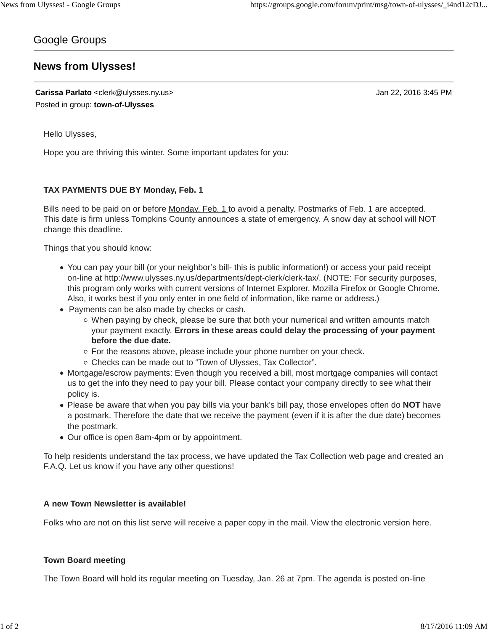# Google Groups

# **News from Ulysses!**

**Carissa Parlato** <clerk@ulysses.ny.us> Jan 22, 2016 3:45 PM Posted in group: **town-of-Ulysses**

Hello Ulysses,

Hope you are thriving this winter. Some important updates for you:

## **TAX PAYMENTS DUE BY Monday, Feb. 1**

Bills need to be paid on or before Monday, Feb. 1 to avoid a penalty. Postmarks of Feb. 1 are accepted. This date is firm unless Tompkins County announces a state of emergency. A snow day at school will NOT change this deadline.

Things that you should know:

- You can pay your bill (or your neighbor's bill- this is public information!) or access your paid receipt on-line at http://www.ulysses.ny.us/departments/dept-clerk/clerk-tax/. (NOTE: For security purposes, this program only works with current versions of Internet Explorer, Mozilla Firefox or Google Chrome. Also, it works best if you only enter in one field of information, like name or address.)
- Payments can be also made by checks or cash.
	- $\circ$  When paying by check, please be sure that both your numerical and written amounts match your payment exactly. **Errors in these areas could delay the processing of your payment before the due date.**
	- o For the reasons above, please include your phone number on your check.
	- Checks can be made out to "Town of Ulysses, Tax Collector".
- Mortgage/escrow payments: Even though you received a bill, most mortgage companies will contact us to get the info they need to pay your bill. Please contact your company directly to see what their policy is.
- Please be aware that when you pay bills via your bank's bill pay, those envelopes often do **NOT** have a postmark. Therefore the date that we receive the payment (even if it is after the due date) becomes the postmark.
- Our office is open 8am-4pm or by appointment.

To help residents understand the tax process, we have updated the Tax Collection web page and created an F.A.Q. Let us know if you have any other questions!

### **A new Town Newsletter is available!**

Folks who are not on this list serve will receive a paper copy in the mail. View the electronic version here.

#### **Town Board meeting**

The Town Board will hold its regular meeting on Tuesday, Jan. 26 at 7pm. The agenda is posted on-line